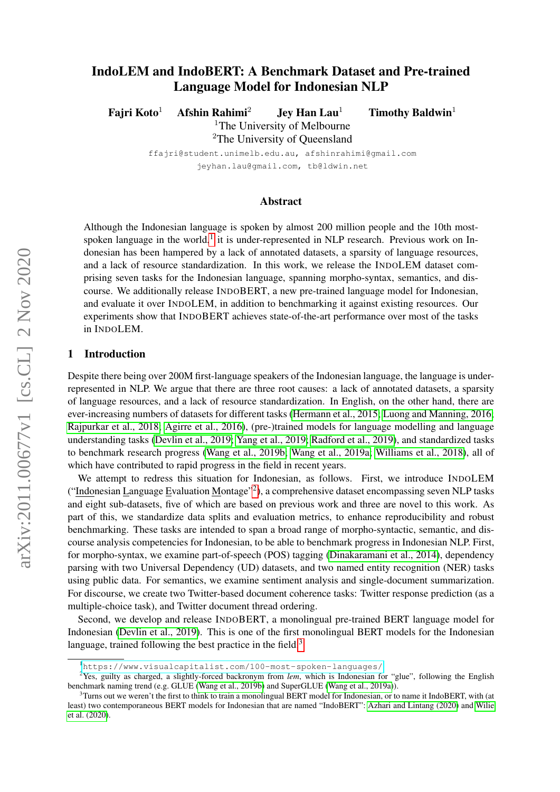# <span id="page-0-3"></span>IndoLEM and IndoBERT: A Benchmark Dataset and Pre-trained Language Model for Indonesian NLP

Fajri Koto<sup>1</sup> Afshin Rahimi<sup>2</sup> Jey Han Lau<sup>1</sup> Timothy Baldwin<sup>1</sup>

<sup>1</sup>The University of Melbourne <sup>2</sup>The University of Queensland

ffajri@student.unimelb.edu.au, afshinrahimi@gmail.com jeyhan.lau@gmail.com, tb@ldwin.net

### Abstract

Although the Indonesian language is spoken by almost 200 million people and the 10th most-spoken language in the world,<sup>[1](#page-0-0)</sup> it is under-represented in NLP research. Previous work on Indonesian has been hampered by a lack of annotated datasets, a sparsity of language resources, and a lack of resource standardization. In this work, we release the INDOLEM dataset comprising seven tasks for the Indonesian language, spanning morpho-syntax, semantics, and discourse. We additionally release INDOBERT, a new pre-trained language model for Indonesian, and evaluate it over INDOLEM, in addition to benchmarking it against existing resources. Our experiments show that INDOBERT achieves state-of-the-art performance over most of the tasks in INDOLEM.

### 1 Introduction

Despite there being over 200M first-language speakers of the Indonesian language, the language is underrepresented in NLP. We argue that there are three root causes: a lack of annotated datasets, a sparsity of language resources, and a lack of resource standardization. In English, on the other hand, there are ever-increasing numbers of datasets for different tasks [\(Hermann et al., 2015;](#page-10-0) [Luong and Manning, 2016;](#page-11-0) [Rajpurkar et al., 2018;](#page-12-0) [Agirre et al., 2016\)](#page-9-0), (pre-)trained models for language modelling and language understanding tasks [\(Devlin et al., 2019;](#page-10-1) [Yang et al., 2019;](#page-13-0) [Radford et al., 2019\)](#page-12-1), and standardized tasks to benchmark research progress [\(Wang et al., 2019b;](#page-12-2) [Wang et al., 2019a;](#page-12-3) [Williams et al., 2018\)](#page-13-1), all of which have contributed to rapid progress in the field in recent years.

We attempt to redress this situation for Indonesian, as follows. First, we introduce INDOLEM ("Indonesian Language Evaluation Montage"<sup>[2](#page-0-1)</sup>), a comprehensive dataset encompassing seven NLP tasks and eight sub-datasets, five of which are based on previous work and three are novel to this work. As part of this, we standardize data splits and evaluation metrics, to enhance reproducibility and robust benchmarking. These tasks are intended to span a broad range of morpho-syntactic, semantic, and discourse analysis competencies for Indonesian, to be able to benchmark progress in Indonesian NLP. First, for morpho-syntax, we examine part-of-speech (POS) tagging [\(Dinakaramani et al., 2014\)](#page-10-2), dependency parsing with two Universal Dependency (UD) datasets, and two named entity recognition (NER) tasks using public data. For semantics, we examine sentiment analysis and single-document summarization. For discourse, we create two Twitter-based document coherence tasks: Twitter response prediction (as a multiple-choice task), and Twitter document thread ordering.

Second, we develop and release INDOBERT, a monolingual pre-trained BERT language model for Indonesian [\(Devlin et al., 2019\)](#page-10-1). This is one of the first monolingual BERT models for the Indonesian language, trained following the best practice in the field.<sup>[3](#page-0-2)</sup>

<span id="page-0-1"></span><span id="page-0-0"></span><sup>1</sup><https://www.visualcapitalist.com/100-most-spoken-languages/>

<sup>2</sup>Yes, guilty as charged, a slightly-forced backronym from *lem*, which is Indonesian for "glue", following the English benchmark naming trend (e.g. GLUE [\(Wang et al., 2019b\)](#page-12-2) and SuperGLUE [\(Wang et al., 2019a\)](#page-12-3)).

<span id="page-0-2"></span> $3$ Turns out we weren't the first to think to train a monolingual BERT model for Indonesian, or to name it IndoBERT, with (at least) two contemporaneous BERT models for Indonesian that are named "IndoBERT": [Azhari and Lintang \(2020\)](#page-9-1) and [Wilie](#page-12-4) [et al. \(2020\)](#page-12-4).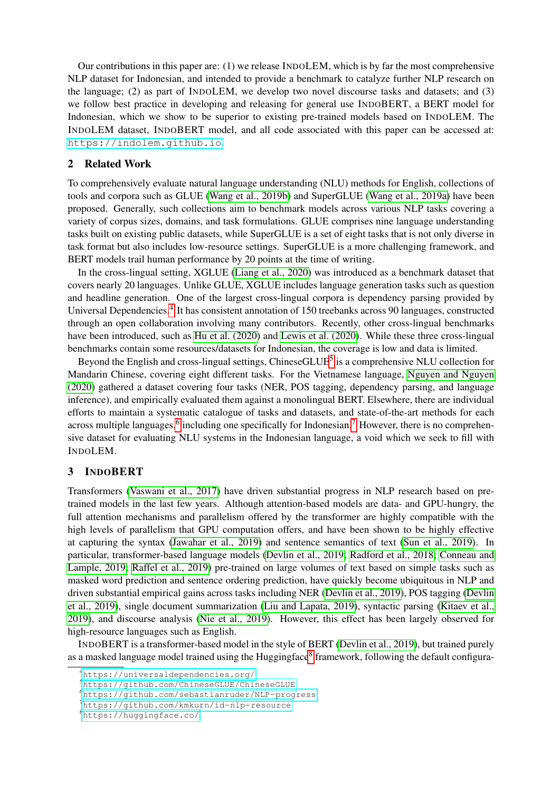Our contributions in this paper are: (1) we release INDOLEM, which is by far the most comprehensive NLP dataset for Indonesian, and intended to provide a benchmark to catalyze further NLP research on the language; (2) as part of INDOLEM, we develop two novel discourse tasks and datasets; and (3) we follow best practice in developing and releasing for general use INDOBERT, a BERT model for Indonesian, which we show to be superior to existing pre-trained models based on INDOLEM. The INDOLEM dataset, INDOBERT model, and all code associated with this paper can be accessed at: <https://indolem.github.io>.

## 2 Related Work

To comprehensively evaluate natural language understanding (NLU) methods for English, collections of tools and corpora such as GLUE [\(Wang et al., 2019b\)](#page-12-2) and SuperGLUE [\(Wang et al., 2019a\)](#page-12-3) have been proposed. Generally, such collections aim to benchmark models across various NLP tasks covering a variety of corpus sizes, domains, and task formulations. GLUE comprises nine language understanding tasks built on existing public datasets, while SuperGLUE is a set of eight tasks that is not only diverse in task format but also includes low-resource settings. SuperGLUE is a more challenging framework, and BERT models trail human performance by 20 points at the time of writing.

In the cross-lingual setting, XGLUE [\(Liang et al., 2020\)](#page-11-1) was introduced as a benchmark dataset that covers nearly 20 languages. Unlike GLUE, XGLUE includes language generation tasks such as question and headline generation. One of the largest cross-lingual corpora is dependency parsing provided by Universal Dependencies.<sup>[4](#page-1-0)</sup> It has consistent annotation of 150 treebanks across 90 languages, constructed through an open collaboration involving many contributors. Recently, other cross-lingual benchmarks have been introduced, such as [Hu et al. \(2020\)](#page-10-3) and [Lewis et al. \(2020\)](#page-11-2). While these three cross-lingual benchmarks contain some resources/datasets for Indonesian, the coverage is low and data is limited.

Beyond the English and cross-lingual settings, ChineseGLUE<sup>[5](#page-1-1)</sup> is a comprehensive NLU collection for Mandarin Chinese, covering eight different tasks. For the Vietnamese language, [Nguyen and Nguyen](#page-11-3) [\(2020\)](#page-11-3) gathered a dataset covering four tasks (NER, POS tagging, dependency parsing, and language inference), and empirically evaluated them against a monolingual BERT. Elsewhere, there are individual efforts to maintain a systematic catalogue of tasks and datasets, and state-of-the-art methods for each across multiple languages,<sup>[6](#page-1-2)</sup> including one specifically for Indonesian.<sup>[7](#page-1-3)</sup> However, there is no comprehensive dataset for evaluating NLU systems in the Indonesian language, a void which we seek to fill with INDOLEM.

# 3 INDOBERT

Transformers [\(Vaswani et al., 2017\)](#page-12-5) have driven substantial progress in NLP research based on pretrained models in the last few years. Although attention-based models are data- and GPU-hungry, the full attention mechanisms and parallelism offered by the transformer are highly compatible with the high levels of parallelism that GPU computation offers, and have been shown to be highly effective at capturing the syntax [\(Jawahar et al., 2019\)](#page-10-4) and sentence semantics of text [\(Sun et al., 2019\)](#page-12-6). In particular, transformer-based language models [\(Devlin et al., 2019;](#page-10-1) [Radford et al., 2018;](#page-12-7) [Conneau and](#page-10-5) [Lample, 2019;](#page-10-5) [Raffel et al., 2019\)](#page-12-8) pre-trained on large volumes of text based on simple tasks such as masked word prediction and sentence ordering prediction, have quickly become ubiquitous in NLP and driven substantial empirical gains across tasks including NER [\(Devlin et al., 2019\)](#page-10-1), POS tagging [\(Devlin](#page-10-1) [et al., 2019\)](#page-10-1), single document summarization [\(Liu and Lapata, 2019\)](#page-11-4), syntactic parsing [\(Kitaev et al.,](#page-10-6) [2019\)](#page-10-6), and discourse analysis [\(Nie et al., 2019\)](#page-11-5). However, this effect has been largely observed for high-resource languages such as English.

INDOBERT is a transformer-based model in the style of BERT [\(Devlin et al., 2019\)](#page-10-1), but trained purely as a masked language model trained using the Huggingface<sup>[8](#page-1-4)</sup> framework, following the default configura-

<span id="page-1-0"></span><sup>4</sup><https://universaldependencies.org/>

<span id="page-1-1"></span><sup>5</sup><https://github.com/ChineseGLUE/ChineseGLUE>

<span id="page-1-2"></span><sup>6</sup><https://github.com/sebastianruder/NLP-progress>

<span id="page-1-3"></span><sup>7</sup><https://github.com/kmkurn/id-nlp-resource>

<span id="page-1-4"></span><sup>8</sup><https://huggingface.co/>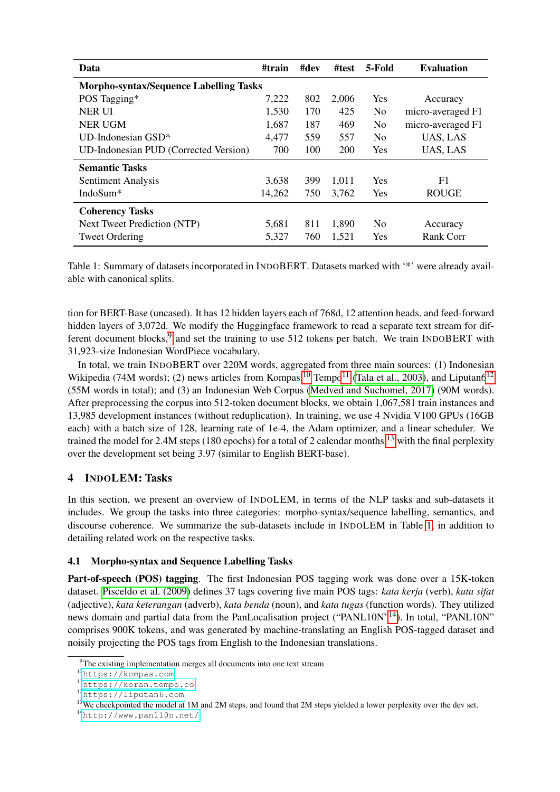<span id="page-2-5"></span>

| Data                                          | #train | #dev | #test | 5-Fold         | <b>Evaluation</b> |
|-----------------------------------------------|--------|------|-------|----------------|-------------------|
| <b>Morpho-syntax/Sequence Labelling Tasks</b> |        |      |       |                |                   |
| POS Tagging*                                  | 7,222  | 802  | 2,006 | Yes            | Accuracy          |
| <b>NER UI</b>                                 | 1,530  | 170  | 425   | N <sub>0</sub> | micro-averaged F1 |
| <b>NER UGM</b>                                | 1,687  | 187  | 469   | N <sub>0</sub> | micro-averaged F1 |
| UD-Indonesian $GSD^*$                         | 4,477  | 559  | 557   | N <sub>0</sub> | UAS, LAS          |
| UD-Indonesian PUD (Corrected Version)         | 700    | 100  | 200   | <b>Yes</b>     | UAS, LAS          |
| <b>Semantic Tasks</b>                         |        |      |       |                |                   |
| Sentiment Analysis                            | 3,638  | 399  | 1,011 | <b>Yes</b>     | F1                |
| IndoSum*                                      | 14,262 | 750  | 3,762 | Yes            | <b>ROUGE</b>      |
| <b>Coherency Tasks</b>                        |        |      |       |                |                   |
| <b>Next Tweet Prediction (NTP)</b>            | 5,681  | 811  | 1,890 | N <sub>0</sub> | Accuracy          |
| <b>Tweet Ordering</b>                         | 5,327  | 760  | 1,521 | Yes            | <b>Rank Corr</b>  |

Table 1: Summary of datasets incorporated in INDOBERT. Datasets marked with '\*' were already available with canonical splits.

tion for BERT-Base (uncased). It has 12 hidden layers each of 768d, 12 attention heads, and feed-forward hidden layers of 3,072d. We modify the Huggingface framework to read a separate text stream for dif-ferent document blocks,<sup>[9](#page-2-0)</sup> and set the training to use 512 tokens per batch. We train INDOBERT with 31,923-size Indonesian WordPiece vocabulary.

In total, we train INDOBERT over 220M words, aggregated from three main sources: (1) Indonesian Wikipedia (74M words); (2) news articles from Kompas,<sup>[10](#page-2-1)</sup> Tempo<sup>[11](#page-2-2)</sup> [\(Tala et al., 2003\)](#page-12-9), and Liputan6<sup>[12](#page-2-3)</sup> (55M words in total); and (3) an Indonesian Web Corpus [\(Medved and Suchomel, 2017\)](#page-11-6) (90M words). After preprocessing the corpus into 512-token document blocks, we obtain 1,067,581 train instances and 13,985 development instances (without reduplication). In training, we use 4 Nvidia V100 GPUs (16GB each) with a batch size of 128, learning rate of 1e-4, the Adam optimizer, and a linear scheduler. We trained the model for 2.4M steps (180 epochs) for a total of 2 calendar months,<sup>[13](#page-2-4)</sup> with the final perplexity over the development set being 3.97 (similar to English BERT-base).

# 4 INDOLEM: Tasks

In this section, we present an overview of INDOLEM, in terms of the NLP tasks and sub-datasets it includes. We group the tasks into three categories: morpho-syntax/sequence labelling, semantics, and discourse coherence. We summarize the sub-datasets include in INDOLEM in Table [1,](#page-2-5) in addition to detailing related work on the respective tasks.

## 4.1 Morpho-syntax and Sequence Labelling Tasks

Part-of-speech (POS) tagging. The first Indonesian POS tagging work was done over a 15K-token dataset. [Pisceldo et al. \(2009\)](#page-12-10) defines 37 tags covering five main POS tags: *kata kerja* (verb), *kata sifat* (adjective), *kata keterangan* (adverb), *kata benda* (noun), and *kata tugas* (function words). They utilized news domain and partial data from the PanLocalisation project ("PANL10N"<sup>[14](#page-2-6)</sup>). In total, "PANL10N" comprises 900K tokens, and was generated by machine-translating an English POS-tagged dataset and noisily projecting the POS tags from English to the Indonesian translations.

<span id="page-2-0"></span><sup>&</sup>lt;sup>9</sup>The existing implementation merges all documents into one text stream

<span id="page-2-1"></span><sup>10</sup><https://kompas.com>

<span id="page-2-2"></span><sup>11</sup><https://koran.tempo.co>

<span id="page-2-3"></span><sup>12</sup><https://liputan6.com>

<span id="page-2-4"></span><sup>&</sup>lt;sup>13</sup>We checkpointed the model at 1M and 2M steps, and found that 2M steps yielded a lower perplexity over the dev set.

<span id="page-2-6"></span><sup>14</sup><http://www.panl10n.net/>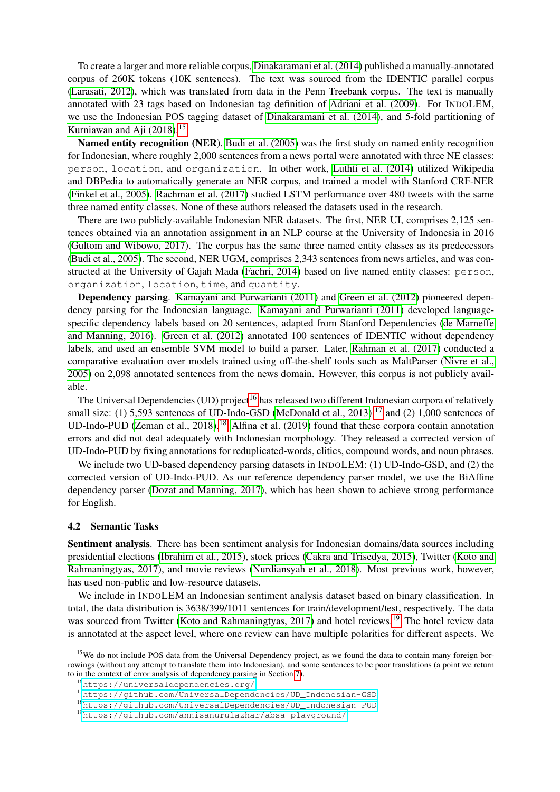To create a larger and more reliable corpus, [Dinakaramani et al. \(2014\)](#page-10-2) published a manually-annotated corpus of 260K tokens (10K sentences). The text was sourced from the IDENTIC parallel corpus [\(Larasati, 2012\)](#page-11-7), which was translated from data in the Penn Treebank corpus. The text is manually annotated with 23 tags based on Indonesian tag definition of [Adriani et al. \(2009\)](#page-9-2). For INDOLEM, we use the Indonesian POS tagging dataset of [Dinakaramani et al. \(2014\)](#page-10-2), and 5-fold partitioning of Kurniawan and Aji  $(2018).^{15}$  $(2018).^{15}$  $(2018).^{15}$ 

Named entity recognition (NER). [Budi et al. \(2005\)](#page-10-7) was the first study on named entity recognition for Indonesian, where roughly 2,000 sentences from a news portal were annotated with three NE classes: person, location, and organization. In other work, [Luthfi et al. \(2014\)](#page-11-9) utilized Wikipedia and DBPedia to automatically generate an NER corpus, and trained a model with Stanford CRF-NER [\(Finkel et al., 2005\)](#page-10-8). [Rachman et al. \(2017\)](#page-12-11) studied LSTM performance over 480 tweets with the same three named entity classes. None of these authors released the datasets used in the research.

There are two publicly-available Indonesian NER datasets. The first, NER UI, comprises 2,125 sentences obtained via an annotation assignment in an NLP course at the University of Indonesia in 2016 [\(Gultom and Wibowo, 2017\)](#page-10-9). The corpus has the same three named entity classes as its predecessors [\(Budi et al., 2005\)](#page-10-7). The second, NER UGM, comprises 2,343 sentences from news articles, and was constructed at the University of Gajah Mada [\(Fachri, 2014\)](#page-10-10) based on five named entity classes: person, organization, location, time, and quantity.

Dependency parsing. [Kamayani and Purwarianti \(2011\)](#page-10-11) and [Green et al. \(2012\)](#page-10-12) pioneered dependency parsing for the Indonesian language. [Kamayani and Purwarianti \(2011\)](#page-10-11) developed languagespecific dependency labels based on 20 sentences, adapted from Stanford Dependencies [\(de Marneffe](#page-10-13) [and Manning, 2016\)](#page-10-13). [Green et al. \(2012\)](#page-10-12) annotated 100 sentences of IDENTIC without dependency labels, and used an ensemble SVM model to build a parser. Later, [Rahman et al. \(2017\)](#page-12-12) conducted a comparative evaluation over models trained using off-the-shelf tools such as MaltParser [\(Nivre et al.,](#page-12-13) [2005\)](#page-12-13) on 2,098 annotated sentences from the news domain. However, this corpus is not publicly available.

The Universal Dependencies (UD) project<sup>[16](#page-3-1)</sup> has released two different Indonesian corpora of relatively small size: (1) 5,593 sentences of UD-Indo-GSD [\(McDonald et al., 2013\)](#page-11-10);<sup>[17](#page-3-2)</sup> and (2) 1,000 sentences of UD-Indo-PUD [\(Zeman et al., 2018\)](#page-13-2).<sup>[18](#page-3-3)</sup> [Alfina et al. \(2019\)](#page-9-3) found that these corpora contain annotation errors and did not deal adequately with Indonesian morphology. They released a corrected version of UD-Indo-PUD by fixing annotations for reduplicated-words, clitics, compound words, and noun phrases.

We include two UD-based dependency parsing datasets in INDOLEM: (1) UD-Indo-GSD, and (2) the corrected version of UD-Indo-PUD. As our reference dependency parser model, we use the BiAffine dependency parser [\(Dozat and Manning, 2017\)](#page-10-14), which has been shown to achieve strong performance for English.

#### 4.2 Semantic Tasks

Sentiment analysis. There has been sentiment analysis for Indonesian domains/data sources including presidential elections [\(Ibrahim et al., 2015\)](#page-10-15), stock prices [\(Cakra and Trisedya, 2015\)](#page-10-16), Twitter [\(Koto and](#page-11-11) [Rahmaningtyas, 2017\)](#page-11-11), and movie reviews [\(Nurdiansyah et al., 2018\)](#page-12-14). Most previous work, however, has used non-public and low-resource datasets.

We include in INDOLEM an Indonesian sentiment analysis dataset based on binary classification. In total, the data distribution is 3638/399/1011 sentences for train/development/test, respectively. The data was sourced from Twitter [\(Koto and Rahmaningtyas, 2017\)](#page-11-11) and hotel reviews.<sup>[19](#page-3-4)</sup> The hotel review data is annotated at the aspect level, where one review can have multiple polarities for different aspects. We

<span id="page-3-0"></span><sup>&</sup>lt;sup>15</sup>We do not include POS data from the Universal Dependency project, as we found the data to contain many foreign borrowings (without any attempt to translate them into Indonesian), and some sentences to be poor translations (a point we return to in the context of error analysis of dependency parsing in Section [7\)](#page-7-0).

<span id="page-3-1"></span><sup>16</sup><https://universaldependencies.org/>

<span id="page-3-2"></span><sup>17</sup>[https://github.com/UniversalDependencies/UD\\_Indonesian-GSD](https://github.com/UniversalDependencies/UD_Indonesian-GSD)

<span id="page-3-3"></span><sup>18</sup>[https://github.com/UniversalDependencies/UD\\_Indonesian-PUD](https://github.com/UniversalDependencies/UD_Indonesian-PUD)

<span id="page-3-4"></span><sup>19</sup><https://github.com/annisanurulazhar/absa-playground/>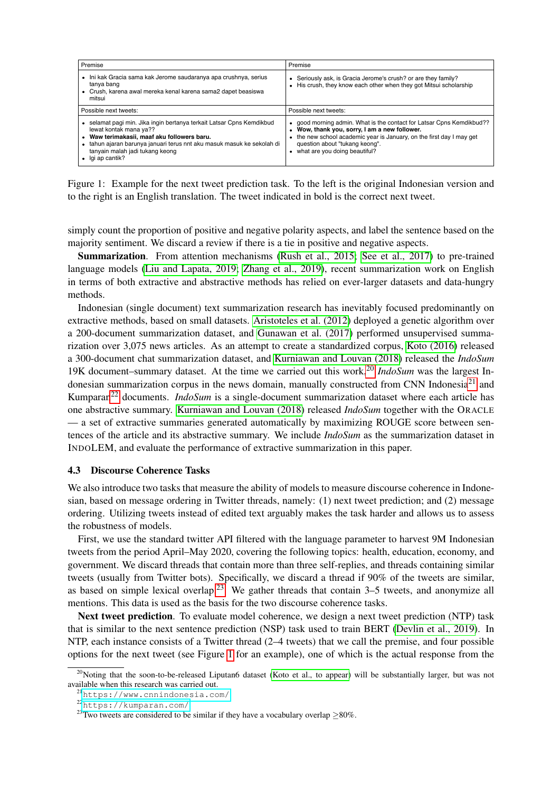<span id="page-4-4"></span>

| Premise                                                                                                                                                                                                                                                                 | Premise                                                                                                                                                                                                                                                        |
|-------------------------------------------------------------------------------------------------------------------------------------------------------------------------------------------------------------------------------------------------------------------------|----------------------------------------------------------------------------------------------------------------------------------------------------------------------------------------------------------------------------------------------------------------|
| · Ini kak Gracia sama kak Jerome saudaranya apa crushnya, serius<br>tanya bang<br>Crush, karena awal mereka kenal karena sama2 dapet beasiswa<br>٠<br>mitsui                                                                                                            | Seriously ask, is Gracia Jerome's crush? or are they family?<br>His crush, they know each other when they got Mitsui scholarship                                                                                                                               |
| Possible next tweets:                                                                                                                                                                                                                                                   | Possible next tweets:                                                                                                                                                                                                                                          |
| selamat pagi min. Jika ingin bertanya terkait Latsar Cpns Kemdikbud<br>lewat kontak mana ya??<br>Waw terimakasii, maaf aku followers baru.<br>tahun ajaran barunya januari terus nnt aku masuk masuk ke sekolah di<br>tanyain malah jadi tukang keong<br>lgi ap cantik? | • good morning admin. What is the contact for Latsar Cpns Kemdikbud??<br>Wow, thank you, sorry, I am a new follower.<br>the new school academic year is January, on the first day I may get<br>question about "tukang keong".<br>what are you doing beautiful? |

Figure 1: Example for the next tweet prediction task. To the left is the original Indonesian version and to the right is an English translation. The tweet indicated in bold is the correct next tweet.

simply count the proportion of positive and negative polarity aspects, and label the sentence based on the majority sentiment. We discard a review if there is a tie in positive and negative aspects.

Summarization. From attention mechanisms [\(Rush et al., 2015;](#page-12-15) [See et al., 2017\)](#page-12-16) to pre-trained language models [\(Liu and Lapata, 2019;](#page-11-4) [Zhang et al., 2019\)](#page-13-3), recent summarization work on English in terms of both extractive and abstractive methods has relied on ever-larger datasets and data-hungry methods.

Indonesian (single document) text summarization research has inevitably focused predominantly on extractive methods, based on small datasets. [Aristoteles et al. \(2012\)](#page-9-4) deployed a genetic algorithm over a 200-document summarization dataset, and [Gunawan et al. \(2017\)](#page-10-17) performed unsupervised summarization over 3,075 news articles. As an attempt to create a standardized corpus, [Koto \(2016\)](#page-11-12) released a 300-document chat summarization dataset, and [Kurniawan and Louvan \(2018\)](#page-11-13) released the *IndoSum* 19K document–summary dataset. At the time we carried out this work,[20](#page-4-0) *IndoSum* was the largest In-donesian summarization corpus in the news domain, manually constructed from CNN Indonesia<sup>[21](#page-4-1)</sup> and Kumparan[22](#page-4-2) documents. *IndoSum* is a single-document summarization dataset where each article has one abstractive summary. [Kurniawan and Louvan \(2018\)](#page-11-13) released *IndoSum* together with the ORACLE — a set of extractive summaries generated automatically by maximizing ROUGE score between sentences of the article and its abstractive summary. We include *IndoSum* as the summarization dataset in INDOLEM, and evaluate the performance of extractive summarization in this paper.

## 4.3 Discourse Coherence Tasks

We also introduce two tasks that measure the ability of models to measure discourse coherence in Indonesian, based on message ordering in Twitter threads, namely: (1) next tweet prediction; and (2) message ordering. Utilizing tweets instead of edited text arguably makes the task harder and allows us to assess the robustness of models.

First, we use the standard twitter API filtered with the language parameter to harvest 9M Indonesian tweets from the period April–May 2020, covering the following topics: health, education, economy, and government. We discard threads that contain more than three self-replies, and threads containing similar tweets (usually from Twitter bots). Specifically, we discard a thread if 90% of the tweets are similar, as based on simple lexical overlap.<sup>[23](#page-4-3)</sup> We gather threads that contain  $3-5$  tweets, and anonymize all mentions. This data is used as the basis for the two discourse coherence tasks.

Next tweet prediction. To evaluate model coherence, we design a next tweet prediction (NTP) task that is similar to the next sentence prediction (NSP) task used to train BERT [\(Devlin et al., 2019\)](#page-10-1). In NTP, each instance consists of a Twitter thread (2–4 tweets) that we call the premise, and four possible options for the next tweet (see Figure [1](#page-4-4) for an example), one of which is the actual response from the

<span id="page-4-0"></span><sup>&</sup>lt;sup>20</sup>Noting that the soon-to-be-released Liputan6 dataset [\(Koto et al., to appear\)](#page-11-14) will be substantially larger, but was not available when this research was carried out.

<span id="page-4-1"></span><sup>21</sup><https://www.cnnindonesia.com/>

<span id="page-4-2"></span><sup>22</sup><https://kumparan.com/>

<span id="page-4-3"></span><sup>&</sup>lt;sup>23</sup>Two tweets are considered to be similar if they have a vocabulary overlap  $\geq$ 80%.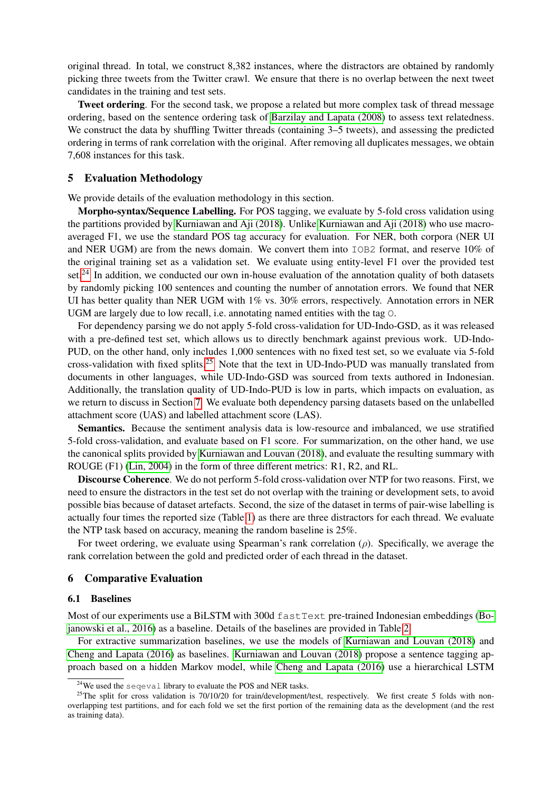original thread. In total, we construct 8,382 instances, where the distractors are obtained by randomly picking three tweets from the Twitter crawl. We ensure that there is no overlap between the next tweet candidates in the training and test sets.

Tweet ordering. For the second task, we propose a related but more complex task of thread message ordering, based on the sentence ordering task of [Barzilay and Lapata \(2008\)](#page-9-5) to assess text relatedness. We construct the data by shuffling Twitter threads (containing  $3-5$  tweets), and assessing the predicted ordering in terms of rank correlation with the original. After removing all duplicates messages, we obtain 7,608 instances for this task.

### 5 Evaluation Methodology

We provide details of the evaluation methodology in this section.

Morpho-syntax/Sequence Labelling. For POS tagging, we evaluate by 5-fold cross validation using the partitions provided by [Kurniawan and Aji \(2018\)](#page-11-8). Unlike [Kurniawan and Aji \(2018\)](#page-11-8) who use macroaveraged F1, we use the standard POS tag accuracy for evaluation. For NER, both corpora (NER UI and NER UGM) are from the news domain. We convert them into IOB2 format, and reserve 10% of the original training set as a validation set. We evaluate using entity-level F1 over the provided test set.<sup>[24](#page-5-0)</sup> In addition, we conducted our own in-house evaluation of the annotation quality of both datasets by randomly picking 100 sentences and counting the number of annotation errors. We found that NER UI has better quality than NER UGM with 1% vs. 30% errors, respectively. Annotation errors in NER UGM are largely due to low recall, i.e. annotating named entities with the tag O.

For dependency parsing we do not apply 5-fold cross-validation for UD-Indo-GSD, as it was released with a pre-defined test set, which allows us to directly benchmark against previous work. UD-Indo-PUD, on the other hand, only includes 1,000 sentences with no fixed test set, so we evaluate via 5-fold cross-validation with fixed splits.[25](#page-5-1) Note that the text in UD-Indo-PUD was manually translated from documents in other languages, while UD-Indo-GSD was sourced from texts authored in Indonesian. Additionally, the translation quality of UD-Indo-PUD is low in parts, which impacts on evaluation, as we return to discuss in Section [7.](#page-7-0) We evaluate both dependency parsing datasets based on the unlabelled attachment score (UAS) and labelled attachment score (LAS).

Semantics. Because the sentiment analysis data is low-resource and imbalanced, we use stratified 5-fold cross-validation, and evaluate based on F1 score. For summarization, on the other hand, we use the canonical splits provided by [Kurniawan and Louvan \(2018\)](#page-11-13), and evaluate the resulting summary with ROUGE (F1) [\(Lin, 2004\)](#page-11-15) in the form of three different metrics: R1, R2, and RL.

Discourse Coherence. We do not perform 5-fold cross-validation over NTP for two reasons. First, we need to ensure the distractors in the test set do not overlap with the training or development sets, to avoid possible bias because of dataset artefacts. Second, the size of the dataset in terms of pair-wise labelling is actually four times the reported size (Table [1\)](#page-2-5) as there are three distractors for each thread. We evaluate the NTP task based on accuracy, meaning the random baseline is 25%.

For tweet ordering, we evaluate using Spearman's rank correlation  $(\rho)$ . Specifically, we average the rank correlation between the gold and predicted order of each thread in the dataset.

#### 6 Comparative Evaluation

#### 6.1 Baselines

Most of our experiments use a BiLSTM with 300d fastText pre-trained Indonesian embeddings [\(Bo](#page-9-6)[janowski et al., 2016\)](#page-9-6) as a baseline. Details of the baselines are provided in Table [2.](#page-6-0)

For extractive summarization baselines, we use the models of [Kurniawan and Louvan \(2018\)](#page-11-13) and [Cheng and Lapata \(2016\)](#page-10-18) as baselines. [Kurniawan and Louvan \(2018\)](#page-11-13) propose a sentence tagging approach based on a hidden Markov model, while [Cheng and Lapata \(2016\)](#page-10-18) use a hierarchical LSTM

<span id="page-5-1"></span><span id="page-5-0"></span> $24$ We used the seqeval library to evaluate the POS and NER tasks.

<sup>&</sup>lt;sup>25</sup>The split for cross validation is 70/10/20 for train/development/test, respectively. We first create 5 folds with nonoverlapping test partitions, and for each fold we set the first portion of the remaining data as the development (and the rest as training data).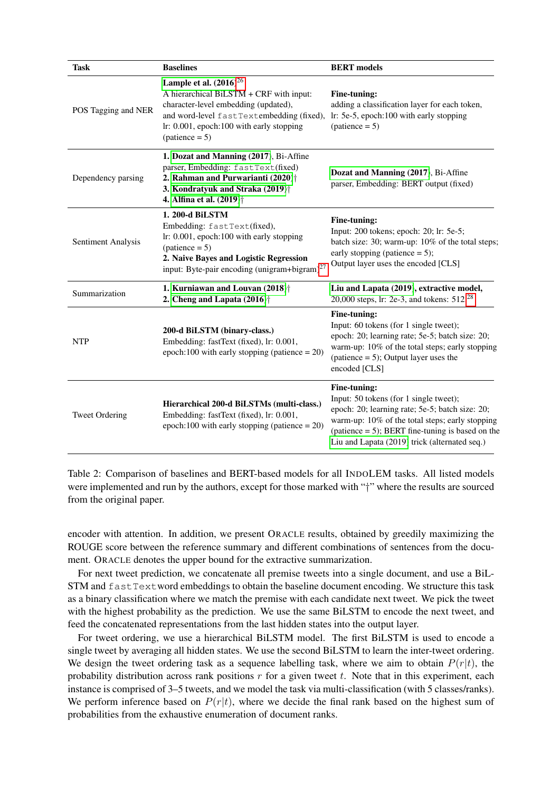<span id="page-6-0"></span>

| <b>Task</b>           | <b>Baselines</b>                                                                                                                                                                                                                                                    | <b>BERT</b> models                                                                                                                                                                                                                                                   |
|-----------------------|---------------------------------------------------------------------------------------------------------------------------------------------------------------------------------------------------------------------------------------------------------------------|----------------------------------------------------------------------------------------------------------------------------------------------------------------------------------------------------------------------------------------------------------------------|
| POS Tagging and NER   | Lample et al. $(2016)^{26}$<br>A hierarchical BiLSTM + CRF with input:<br>character-level embedding (updated),<br>and word-level fastTextembedding (fixed), lr: 5e-5, epoch:100 with early stopping<br>lr: 0.001, epoch:100 with early stopping<br>$(patience = 5)$ | Fine-tuning:<br>adding a classification layer for each token,<br>$(patience = 5)$                                                                                                                                                                                    |
| Dependency parsing    | 1. Dozat and Manning (2017), Bi-Affine<br>parser, Embedding: fastText(fixed)<br>2. Rahman and Purwarianti (2020) <sup>†</sup><br>3. Kondratyuk and Straka (2019) <sup>†</sup><br>4. Alfina et al. (2019) <sup>†</sup>                                               | Dozat and Manning (2017), Bi-Affine<br>parser, Embedding: BERT output (fixed)                                                                                                                                                                                        |
| Sentiment Analysis    | 1. 200-d BiLSTM<br>Embedding: fastText(fixed),<br>lr: 0.001, epoch:100 with early stopping<br>$(patience = 5)$<br>2. Naive Bayes and Logistic Regression<br>input: Byte-pair encoding (unigram+bigram) <sup>27</sup>                                                | Fine-tuning:<br>Input: 200 tokens; epoch: 20; lr: 5e-5;<br>batch size: 30; warm-up: 10% of the total steps;<br>early stopping (patience $= 5$ );<br>Output layer uses the encoded [CLS]                                                                              |
| Summarization         | 1. Kurniawan and Louvan (2018) <sup>†</sup><br>2. Cheng and Lapata $(2016)$ <sup>+</sup>                                                                                                                                                                            | Liu and Lapata (2019), extractive model,<br>20,000 steps, lr: 2e-3, and tokens: 512. <sup>28</sup>                                                                                                                                                                   |
| <b>NTP</b>            | 200-d BiLSTM (binary-class.)<br>Embedding: fastText (fixed), lr: 0.001,<br>epoch:100 with early stopping (patience $= 20$ )                                                                                                                                         | Fine-tuning:<br>Input: 60 tokens (for 1 single tweet);<br>epoch: 20; learning rate; 5e-5; batch size: 20;<br>warm-up: 10% of the total steps; early stopping<br>(patience $= 5$ ); Output layer uses the<br>encoded [CLS]                                            |
| <b>Tweet Ordering</b> | Hierarchical 200-d BiLSTMs (multi-class.)<br>Embedding: fastText (fixed), lr: 0.001,<br>epoch:100 with early stopping (patience $= 20$ )                                                                                                                            | Fine-tuning:<br>Input: 50 tokens (for 1 single tweet);<br>epoch: 20; learning rate; 5e-5; batch size: 20;<br>warm-up: 10% of the total steps; early stopping<br>(patience $= 5$ ); BERT fine-tuning is based on the<br>Liu and Lapata (2019) trick (alternated seq.) |

Table 2: Comparison of baselines and BERT-based models for all INDOLEM tasks. All listed models were implemented and run by the authors, except for those marked with "†" where the results are sourced from the original paper.

encoder with attention. In addition, we present ORACLE results, obtained by greedily maximizing the ROUGE score between the reference summary and different combinations of sentences from the document. ORACLE denotes the upper bound for the extractive summarization.

For next tweet prediction, we concatenate all premise tweets into a single document, and use a BiL-STM and fastTextword embeddings to obtain the baseline document encoding. We structure this task as a binary classification where we match the premise with each candidate next tweet. We pick the tweet with the highest probability as the prediction. We use the same BiLSTM to encode the next tweet, and feed the concatenated representations from the last hidden states into the output layer.

For tweet ordering, we use a hierarchical BiLSTM model. The first BiLSTM is used to encode a single tweet by averaging all hidden states. We use the second BiLSTM to learn the inter-tweet ordering. We design the tweet ordering task as a sequence labelling task, where we aim to obtain  $P(r|t)$ , the probability distribution across rank positions  $r$  for a given tweet  $t$ . Note that in this experiment, each instance is comprised of 3–5 tweets, and we model the task via multi-classification (with 5 classes/ranks). We perform inference based on  $P(r|t)$ , where we decide the final rank based on the highest sum of probabilities from the exhaustive enumeration of document ranks.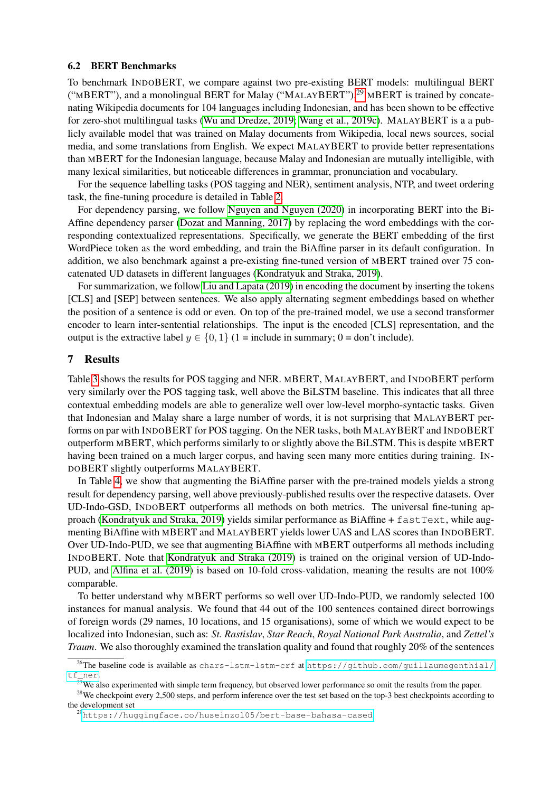#### 6.2 BERT Benchmarks

To benchmark INDOBERT, we compare against two pre-existing BERT models: multilingual BERT ("MBERT"), and a monolingual BERT for Malay ("MALAYBERT").<sup>[29](#page-7-2)</sup> MBERT is trained by concatenating Wikipedia documents for 104 languages including Indonesian, and has been shown to be effective for zero-shot multilingual tasks [\(Wu and Dredze, 2019;](#page-13-4) [Wang et al., 2019c\)](#page-12-18). MALAYBERT is a a publicly available model that was trained on Malay documents from Wikipedia, local news sources, social media, and some translations from English. We expect MALAYBERT to provide better representations than MBERT for the Indonesian language, because Malay and Indonesian are mutually intelligible, with many lexical similarities, but noticeable differences in grammar, pronunciation and vocabulary.

For the sequence labelling tasks (POS tagging and NER), sentiment analysis, NTP, and tweet ordering task, the fine-tuning procedure is detailed in Table [2.](#page-6-0)

For dependency parsing, we follow [Nguyen and Nguyen \(2020\)](#page-11-3) in incorporating BERT into the Bi-Affine dependency parser [\(Dozat and Manning, 2017\)](#page-10-14) by replacing the word embeddings with the corresponding contextualized representations. Specifically, we generate the BERT embedding of the first WordPiece token as the word embedding, and train the BiAffine parser in its default configuration. In addition, we also benchmark against a pre-existing fine-tuned version of MBERT trained over 75 concatenated UD datasets in different languages [\(Kondratyuk and Straka, 2019\)](#page-11-17).

For summarization, we follow [Liu and Lapata \(2019\)](#page-11-4) in encoding the document by inserting the tokens [CLS] and [SEP] between sentences. We also apply alternating segment embeddings based on whether the position of a sentence is odd or even. On top of the pre-trained model, we use a second transformer encoder to learn inter-sentential relationships. The input is the encoded [CLS] representation, and the output is the extractive label  $y \in \{0, 1\}$  (1 = include in summary; 0 = don't include).

### <span id="page-7-0"></span>7 Results

Table [3](#page-8-0) shows the results for POS tagging and NER. MBERT, MALAYBERT, and INDOBERT perform very similarly over the POS tagging task, well above the BiLSTM baseline. This indicates that all three contextual embedding models are able to generalize well over low-level morpho-syntactic tasks. Given that Indonesian and Malay share a large number of words, it is not surprising that MALAYBERT performs on par with INDOBERT for POS tagging. On the NER tasks, both MALAYBERT and INDOBERT outperform MBERT, which performs similarly to or slightly above the BiLSTM. This is despite MBERT having been trained on a much larger corpus, and having seen many more entities during training. IN-DOBERT slightly outperforms MALAYBERT.

In Table [4,](#page-8-1) we show that augmenting the BiAffine parser with the pre-trained models yields a strong result for dependency parsing, well above previously-published results over the respective datasets. Over UD-Indo-GSD, INDOBERT outperforms all methods on both metrics. The universal fine-tuning ap-proach [\(Kondratyuk and Straka, 2019\)](#page-11-17) yields similar performance as BiAffine +  $f$ astText, while augmenting BiAffine with MBERT and MALAYBERT yields lower UAS and LAS scores than INDOBERT. Over UD-Indo-PUD, we see that augmenting BiAffine with MBERT outperforms all methods including INDOBERT. Note that [Kondratyuk and Straka \(2019\)](#page-11-17) is trained on the original version of UD-Indo-PUD, and [Alfina et al. \(2019\)](#page-9-3) is based on 10-fold cross-validation, meaning the results are not 100% comparable.

To better understand why MBERT performs so well over UD-Indo-PUD, we randomly selected 100 instances for manual analysis. We found that 44 out of the 100 sentences contained direct borrowings of foreign words (29 names, 10 locations, and 15 organisations), some of which we would expect to be localized into Indonesian, such as: *St. Rastislav*, *Star Reach*, *Royal National Park Australia*, and *Zettel's Traum*. We also thoroughly examined the translation quality and found that roughly 20% of the sentences

<span id="page-7-1"></span><sup>26</sup>The baseline code is available as chars-lstm-lstm-crf at [https://github.com/guillaumegenthial/](https://github.com/guillaumegenthial/tf_ner) [tf\\_ner](https://github.com/guillaumegenthial/tf_ner).

 $27$ We also experimented with simple term frequency, but observed lower performance so omit the results from the paper.

<sup>&</sup>lt;sup>28</sup>We checkpoint every 2,500 steps, and perform inference over the test set based on the top-3 best checkpoints according to the development set

<span id="page-7-2"></span><sup>29</sup><https://huggingface.co/huseinzol05/bert-base-bahasa-cased>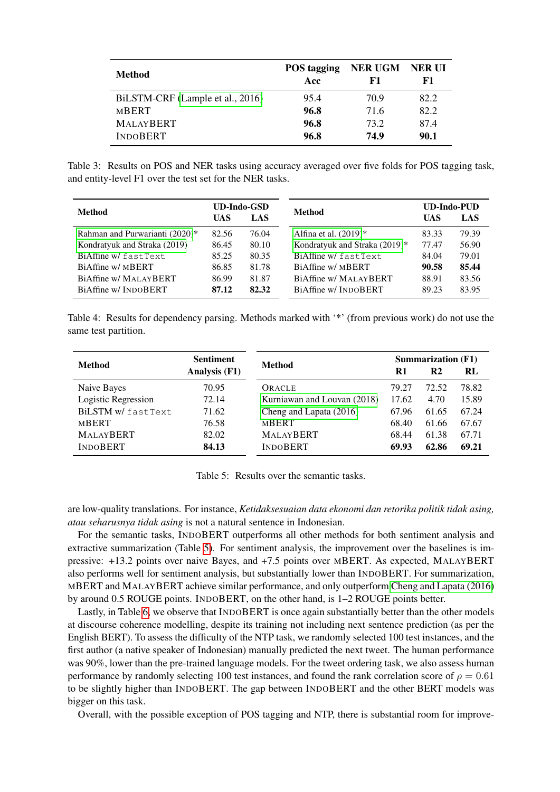<span id="page-8-0"></span>

| Method                           | <b>POS</b> tagging<br>Acc | NER UGM NER UI<br>F1 | F1   |
|----------------------------------|---------------------------|----------------------|------|
| BiLSTM-CRF (Lample et al., 2016) | 95.4                      | 70.9                 | 82.2 |
| <b>MBERT</b>                     | 96.8                      | 71.6                 | 82.2 |
| <b>MALAYBERT</b>                 | 96.8                      | 73.2                 | 87.4 |
| <b>INDOBERT</b>                  | 96.8                      | 74.9                 | 90.1 |

Table 3: Results on POS and NER tasks using accuracy averaged over five folds for POS tagging task, and entity-level F1 over the test set for the NER tasks.

<span id="page-8-1"></span>

| Method                         | <b>UD-Indo-GSD</b><br>UAS<br>LAS |       | Method                        | UAS   | <b>UD-Indo-PUD</b><br>LAS |
|--------------------------------|----------------------------------|-------|-------------------------------|-------|---------------------------|
| Rahman and Purwarianti (2020)* | 82.56                            | 76.04 | Alfina et al. $(2019)^*$      | 83.33 | 79.39                     |
| Kondratyuk and Straka (2019)   | 86.45                            | 80.10 | Kondratyuk and Straka (2019)* | 77.47 | 56.90                     |
| BiAffine w/fastText            | 85.25                            | 80.35 | BiAffine w/fastText           | 84.04 | 79.01                     |
| BiAffine w/ MBERT              | 86.85                            | 81.78 | BiAffine w/ MBERT             | 90.58 | 85.44                     |
| BiAffine w/ MALAYBERT          | 86.99                            | 81.87 | BiAffine w/ MALAYBERT         | 88.91 | 83.56                     |
| BiAffine w/INDOBERT            | 87.12                            | 82.32 | BiAffine w/INDOBERT           | 89.23 | 83.95                     |

Table 4: Results for dependency parsing. Methods marked with '\*' (from previous work) do not use the same test partition.

<span id="page-8-2"></span>

| <b>Method</b>       | <b>Sentiment</b> | <b>Method</b>               | <b>Summarization (F1)</b> |                |       |
|---------------------|------------------|-----------------------------|---------------------------|----------------|-------|
|                     | Analysis (F1)    |                             | R1                        | R <sub>2</sub> | RI    |
| Naive Bayes         | 70.95            | ORACLE                      | 79.27                     | 72.52          | 78.82 |
| Logistic Regression | 72.14            | Kurniawan and Louvan (2018) | 17.62                     | 4.70           | 15.89 |
| BiLSTM w/fastText   | 71.62            | Cheng and Lapata (2016)     | 67.96                     | 61.65          | 67.24 |
| <b>MBERT</b>        | 76.58            | <b>MBERT</b>                | 68.40                     | 61.66          | 67.67 |
| <b>MALAYBERT</b>    | 82.02            | <b>MALAYBERT</b>            | 68.44                     | 61.38          | 67.71 |
| <b>INDOBERT</b>     | 84.13            | <b>INDOBERT</b>             | 69.93                     | 62.86          | 69.21 |

Table 5: Results over the semantic tasks.

are low-quality translations. For instance, *Ketidaksesuaian data ekonomi dan retorika politik tidak asing, atau seharusnya tidak asing* is not a natural sentence in Indonesian.

For the semantic tasks, INDOBERT outperforms all other methods for both sentiment analysis and extractive summarization (Table [5\)](#page-8-2). For sentiment analysis, the improvement over the baselines is impressive: +13.2 points over naive Bayes, and +7.5 points over MBERT. As expected, MALAYBERT also performs well for sentiment analysis, but substantially lower than INDOBERT. For summarization, MBERT and MALAYBERT achieve similar performance, and only outperform [Cheng and Lapata \(2016\)](#page-10-18) by around 0.5 ROUGE points. INDOBERT, on the other hand, is 1–2 ROUGE points better.

Lastly, in Table [6,](#page-9-7) we observe that INDOBERT is once again substantially better than the other models at discourse coherence modelling, despite its training not including next sentence prediction (as per the English BERT). To assess the difficulty of the NTP task, we randomly selected 100 test instances, and the first author (a native speaker of Indonesian) manually predicted the next tweet. The human performance was 90%, lower than the pre-trained language models. For the tweet ordering task, we also assess human performance by randomly selecting 100 test instances, and found the rank correlation score of  $\rho = 0.61$ to be slightly higher than INDOBERT. The gap between INDOBERT and the other BERT models was bigger on this task.

Overall, with the possible exception of POS tagging and NTP, there is substantial room for improve-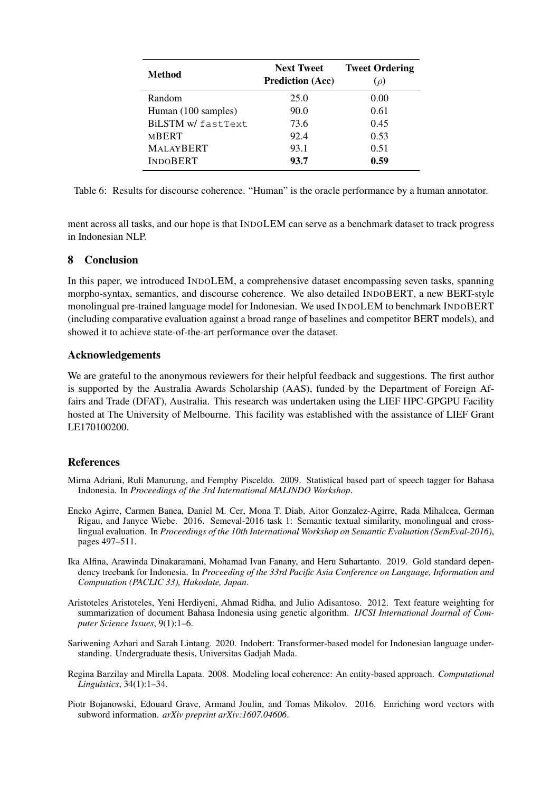<span id="page-9-7"></span>

| <b>Method</b>       | <b>Next Tweet</b><br><b>Prediction (Acc)</b> | <b>Tweet Ordering</b><br>$(\rho)$ |
|---------------------|----------------------------------------------|-----------------------------------|
| Random              | 25.0                                         | 0.00                              |
| Human (100 samples) | 90.0                                         | 0.61                              |
| BiLSTM w/fastText   | 73.6                                         | 0.45                              |
| MBERT               | 92.4                                         | 0.53                              |
| <b>MALAYBERT</b>    | 93.1                                         | 0.51                              |
| <b>INDOBERT</b>     | 93.7                                         | 0.59                              |

Table 6: Results for discourse coherence. "Human" is the oracle performance by a human annotator.

ment across all tasks, and our hope is that INDOLEM can serve as a benchmark dataset to track progress in Indonesian NLP.

## 8 Conclusion

In this paper, we introduced INDOLEM, a comprehensive dataset encompassing seven tasks, spanning morpho-syntax, semantics, and discourse coherence. We also detailed INDOBERT, a new BERT-style monolingual pre-trained language model for Indonesian. We used INDOLEM to benchmark INDOBERT (including comparative evaluation against a broad range of baselines and competitor BERT models), and showed it to achieve state-of-the-art performance over the dataset.

## Acknowledgements

We are grateful to the anonymous reviewers for their helpful feedback and suggestions. The first author is supported by the Australia Awards Scholarship (AAS), funded by the Department of Foreign Affairs and Trade (DFAT), Australia. This research was undertaken using the LIEF HPC-GPGPU Facility hosted at The University of Melbourne. This facility was established with the assistance of LIEF Grant LE170100200.

## References

- <span id="page-9-2"></span>Mirna Adriani, Ruli Manurung, and Femphy Pisceldo. 2009. Statistical based part of speech tagger for Bahasa Indonesia. In *Proceedings of the 3rd International MALINDO Workshop*.
- <span id="page-9-0"></span>Eneko Agirre, Carmen Banea, Daniel M. Cer, Mona T. Diab, Aitor Gonzalez-Agirre, Rada Mihalcea, German Rigau, and Janyce Wiebe. 2016. Semeval-2016 task 1: Semantic textual similarity, monolingual and crosslingual evaluation. In *Proceedings of the 10th International Workshop on Semantic Evaluation (SemEval-2016)*, pages 497–511.
- <span id="page-9-3"></span>Ika Alfina, Arawinda Dinakaramani, Mohamad Ivan Fanany, and Heru Suhartanto. 2019. Gold standard dependency treebank for Indonesia. In *Proceeding of the 33rd Pacific Asia Conference on Language, Information and Computation (PACLIC 33), Hakodate, Japan*.
- <span id="page-9-4"></span>Aristoteles Aristoteles, Yeni Herdiyeni, Ahmad Ridha, and Julio Adisantoso. 2012. Text feature weighting for summarization of document Bahasa Indonesia using genetic algorithm. *IJCSI International Journal of Computer Science Issues*, 9(1):1–6.
- <span id="page-9-1"></span>Sariwening Azhari and Sarah Lintang. 2020. Indobert: Transformer-based model for Indonesian language understanding. Undergraduate thesis, Universitas Gadjah Mada.
- <span id="page-9-5"></span>Regina Barzilay and Mirella Lapata. 2008. Modeling local coherence: An entity-based approach. *Computational Linguistics*, 34(1):1–34.
- <span id="page-9-6"></span>Piotr Bojanowski, Edouard Grave, Armand Joulin, and Tomas Mikolov. 2016. Enriching word vectors with subword information. *arXiv preprint arXiv:1607.04606*.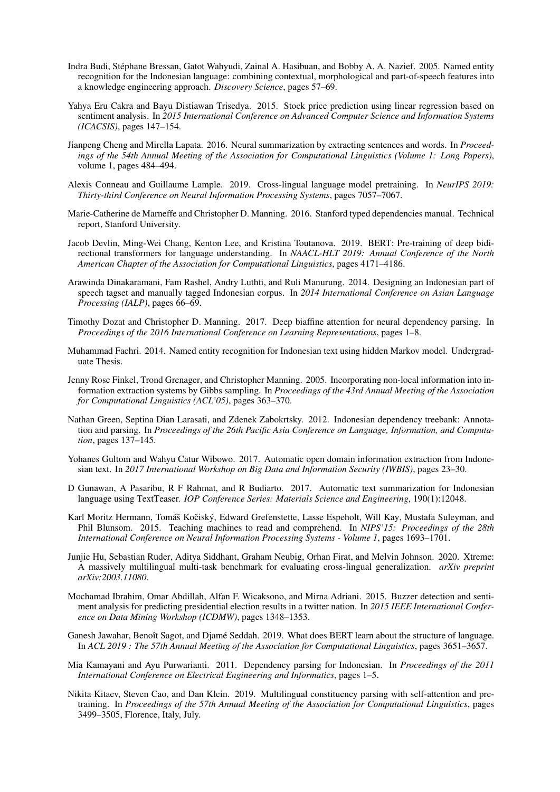- <span id="page-10-7"></span>Indra Budi, Stephane Bressan, Gatot Wahyudi, Zainal A. Hasibuan, and Bobby A. A. Nazief. 2005. Named entity ´ recognition for the Indonesian language: combining contextual, morphological and part-of-speech features into a knowledge engineering approach. *Discovery Science*, pages 57–69.
- <span id="page-10-16"></span>Yahya Eru Cakra and Bayu Distiawan Trisedya. 2015. Stock price prediction using linear regression based on sentiment analysis. In *2015 International Conference on Advanced Computer Science and Information Systems (ICACSIS)*, pages 147–154.
- <span id="page-10-18"></span>Jianpeng Cheng and Mirella Lapata. 2016. Neural summarization by extracting sentences and words. In *Proceedings of the 54th Annual Meeting of the Association for Computational Linguistics (Volume 1: Long Papers)*, volume 1, pages 484–494.
- <span id="page-10-5"></span>Alexis Conneau and Guillaume Lample. 2019. Cross-lingual language model pretraining. In *NeurIPS 2019: Thirty-third Conference on Neural Information Processing Systems*, pages 7057–7067.
- <span id="page-10-13"></span>Marie-Catherine de Marneffe and Christopher D. Manning. 2016. Stanford typed dependencies manual. Technical report, Stanford University.
- <span id="page-10-1"></span>Jacob Devlin, Ming-Wei Chang, Kenton Lee, and Kristina Toutanova. 2019. BERT: Pre-training of deep bidirectional transformers for language understanding. In *NAACL-HLT 2019: Annual Conference of the North American Chapter of the Association for Computational Linguistics*, pages 4171–4186.
- <span id="page-10-2"></span>Arawinda Dinakaramani, Fam Rashel, Andry Luthfi, and Ruli Manurung. 2014. Designing an Indonesian part of speech tagset and manually tagged Indonesian corpus. In *2014 International Conference on Asian Language Processing (IALP)*, pages 66–69.
- <span id="page-10-14"></span>Timothy Dozat and Christopher D. Manning. 2017. Deep biaffine attention for neural dependency parsing. In *Proceedings of the 2016 International Conference on Learning Representations*, pages 1–8.
- <span id="page-10-10"></span>Muhammad Fachri. 2014. Named entity recognition for Indonesian text using hidden Markov model. Undergraduate Thesis.
- <span id="page-10-8"></span>Jenny Rose Finkel, Trond Grenager, and Christopher Manning. 2005. Incorporating non-local information into information extraction systems by Gibbs sampling. In *Proceedings of the 43rd Annual Meeting of the Association for Computational Linguistics (ACL'05)*, pages 363–370.
- <span id="page-10-12"></span>Nathan Green, Septina Dian Larasati, and Zdenek Zabokrtsky. 2012. Indonesian dependency treebank: Annotation and parsing. In *Proceedings of the 26th Pacific Asia Conference on Language, Information, and Computation*, pages 137–145.
- <span id="page-10-9"></span>Yohanes Gultom and Wahyu Catur Wibowo. 2017. Automatic open domain information extraction from Indonesian text. In *2017 International Workshop on Big Data and Information Security (IWBIS)*, pages 23–30.
- <span id="page-10-17"></span>D Gunawan, A Pasaribu, R F Rahmat, and R Budiarto. 2017. Automatic text summarization for Indonesian language using TextTeaser. *IOP Conference Series: Materials Science and Engineering*, 190(1):12048.
- <span id="page-10-0"></span>Karl Moritz Hermann, Tomáš Kočiský, Edward Grefenstette, Lasse Espeholt, Will Kay, Mustafa Suleyman, and Phil Blunsom. 2015. Teaching machines to read and comprehend. In *NIPS'15: Proceedings of the 28th International Conference on Neural Information Processing Systems - Volume 1*, pages 1693–1701.
- <span id="page-10-3"></span>Junjie Hu, Sebastian Ruder, Aditya Siddhant, Graham Neubig, Orhan Firat, and Melvin Johnson. 2020. Xtreme: A massively multilingual multi-task benchmark for evaluating cross-lingual generalization. *arXiv preprint arXiv:2003.11080*.
- <span id="page-10-15"></span>Mochamad Ibrahim, Omar Abdillah, Alfan F. Wicaksono, and Mirna Adriani. 2015. Buzzer detection and sentiment analysis for predicting presidential election results in a twitter nation. In *2015 IEEE International Conference on Data Mining Workshop (ICDMW)*, pages 1348–1353.
- <span id="page-10-4"></span>Ganesh Jawahar, Benoît Sagot, and Djamé Seddah. 2019. What does BERT learn about the structure of language. In *ACL 2019 : The 57th Annual Meeting of the Association for Computational Linguistics*, pages 3651–3657.
- <span id="page-10-11"></span>Mia Kamayani and Ayu Purwarianti. 2011. Dependency parsing for Indonesian. In *Proceedings of the 2011 International Conference on Electrical Engineering and Informatics*, pages 1–5.
- <span id="page-10-6"></span>Nikita Kitaev, Steven Cao, and Dan Klein. 2019. Multilingual constituency parsing with self-attention and pretraining. In *Proceedings of the 57th Annual Meeting of the Association for Computational Linguistics*, pages 3499–3505, Florence, Italy, July.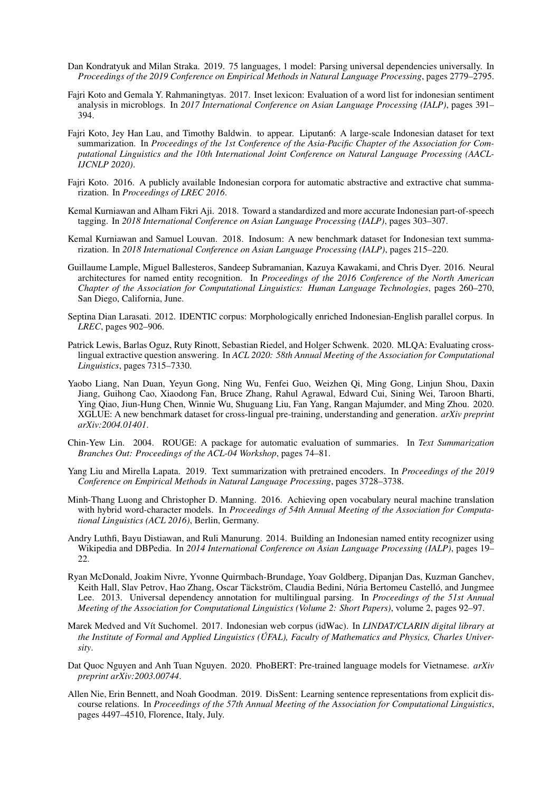- <span id="page-11-17"></span>Dan Kondratyuk and Milan Straka. 2019. 75 languages, 1 model: Parsing universal dependencies universally. In *Proceedings of the 2019 Conference on Empirical Methods in Natural Language Processing*, pages 2779–2795.
- <span id="page-11-11"></span>Fajri Koto and Gemala Y. Rahmaningtyas. 2017. Inset lexicon: Evaluation of a word list for indonesian sentiment analysis in microblogs. In *2017 International Conference on Asian Language Processing (IALP)*, pages 391– 394.
- <span id="page-11-14"></span>Fajri Koto, Jey Han Lau, and Timothy Baldwin. to appear. Liputan6: A large-scale Indonesian dataset for text summarization. In *Proceedings of the 1st Conference of the Asia-Pacific Chapter of the Association for Computational Linguistics and the 10th International Joint Conference on Natural Language Processing (AACL-IJCNLP 2020)*.
- <span id="page-11-12"></span>Fajri Koto. 2016. A publicly available Indonesian corpora for automatic abstractive and extractive chat summarization. In *Proceedings of LREC 2016*.
- <span id="page-11-8"></span>Kemal Kurniawan and Alham Fikri Aji. 2018. Toward a standardized and more accurate Indonesian part-of-speech tagging. In *2018 International Conference on Asian Language Processing (IALP)*, pages 303–307.
- <span id="page-11-13"></span>Kemal Kurniawan and Samuel Louvan. 2018. Indosum: A new benchmark dataset for Indonesian text summarization. In *2018 International Conference on Asian Language Processing (IALP)*, pages 215–220.
- <span id="page-11-16"></span>Guillaume Lample, Miguel Ballesteros, Sandeep Subramanian, Kazuya Kawakami, and Chris Dyer. 2016. Neural architectures for named entity recognition. In *Proceedings of the 2016 Conference of the North American Chapter of the Association for Computational Linguistics: Human Language Technologies*, pages 260–270, San Diego, California, June.
- <span id="page-11-7"></span>Septina Dian Larasati. 2012. IDENTIC corpus: Morphologically enriched Indonesian-English parallel corpus. In *LREC*, pages 902–906.
- <span id="page-11-2"></span>Patrick Lewis, Barlas Oguz, Ruty Rinott, Sebastian Riedel, and Holger Schwenk. 2020. MLQA: Evaluating crosslingual extractive question answering. In *ACL 2020: 58th Annual Meeting of the Association for Computational Linguistics*, pages 7315–7330.
- <span id="page-11-1"></span>Yaobo Liang, Nan Duan, Yeyun Gong, Ning Wu, Fenfei Guo, Weizhen Qi, Ming Gong, Linjun Shou, Daxin Jiang, Guihong Cao, Xiaodong Fan, Bruce Zhang, Rahul Agrawal, Edward Cui, Sining Wei, Taroon Bharti, Ying Qiao, Jiun-Hung Chen, Winnie Wu, Shuguang Liu, Fan Yang, Rangan Majumder, and Ming Zhou. 2020. XGLUE: A new benchmark dataset for cross-lingual pre-training, understanding and generation. *arXiv preprint arXiv:2004.01401*.
- <span id="page-11-15"></span>Chin-Yew Lin. 2004. ROUGE: A package for automatic evaluation of summaries. In *Text Summarization Branches Out: Proceedings of the ACL-04 Workshop*, pages 74–81.
- <span id="page-11-4"></span>Yang Liu and Mirella Lapata. 2019. Text summarization with pretrained encoders. In *Proceedings of the 2019 Conference on Empirical Methods in Natural Language Processing*, pages 3728–3738.
- <span id="page-11-0"></span>Minh-Thang Luong and Christopher D. Manning. 2016. Achieving open vocabulary neural machine translation with hybrid word-character models. In *Proceedings of 54th Annual Meeting of the Association for Computational Linguistics (ACL 2016)*, Berlin, Germany.
- <span id="page-11-9"></span>Andry Luthfi, Bayu Distiawan, and Ruli Manurung. 2014. Building an Indonesian named entity recognizer using Wikipedia and DBPedia. In *2014 International Conference on Asian Language Processing (IALP)*, pages 19– 22.
- <span id="page-11-10"></span>Ryan McDonald, Joakim Nivre, Yvonne Quirmbach-Brundage, Yoav Goldberg, Dipanjan Das, Kuzman Ganchev, Keith Hall, Slav Petrov, Hao Zhang, Oscar Täckström, Claudia Bedini, Núria Bertomeu Castelló, and Jungmee Lee. 2013. Universal dependency annotation for multilingual parsing. In *Proceedings of the 51st Annual Meeting of the Association for Computational Linguistics (Volume 2: Short Papers)*, volume 2, pages 92–97.
- <span id="page-11-6"></span>Marek Medved and Vít Suchomel. 2017. Indonesian web corpus (idWac). In *LINDAT/CLARIN digital library at the Institute of Formal and Applied Linguistics (UFAL), Faculty of Mathematics and Physics, Charles Univer- ´ sity*.
- <span id="page-11-3"></span>Dat Quoc Nguyen and Anh Tuan Nguyen. 2020. PhoBERT: Pre-trained language models for Vietnamese. *arXiv preprint arXiv:2003.00744*.
- <span id="page-11-5"></span>Allen Nie, Erin Bennett, and Noah Goodman. 2019. DisSent: Learning sentence representations from explicit discourse relations. In *Proceedings of the 57th Annual Meeting of the Association for Computational Linguistics*, pages 4497–4510, Florence, Italy, July.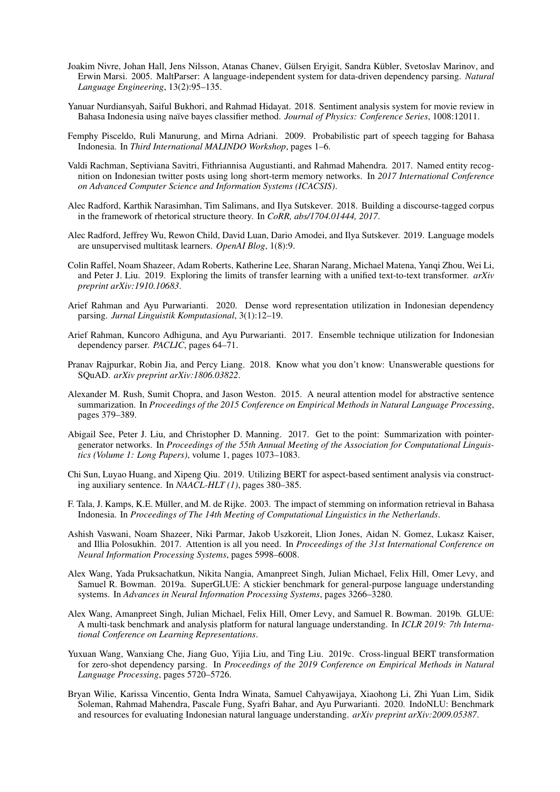- <span id="page-12-13"></span>Joakim Nivre, Johan Hall, Jens Nilsson, Atanas Chanev, Gülsen Eryigit, Sandra Kübler, Svetoslav Marinov, and Erwin Marsi. 2005. MaltParser: A language-independent system for data-driven dependency parsing. *Natural Language Engineering*, 13(2):95–135.
- <span id="page-12-14"></span>Yanuar Nurdiansyah, Saiful Bukhori, and Rahmad Hidayat. 2018. Sentiment analysis system for movie review in Bahasa Indonesia using naïve bayes classifier method. *Journal of Physics: Conference Series*, 1008:12011.
- <span id="page-12-10"></span>Femphy Pisceldo, Ruli Manurung, and Mirna Adriani. 2009. Probabilistic part of speech tagging for Bahasa Indonesia. In *Third International MALINDO Workshop*, pages 1–6.
- <span id="page-12-11"></span>Valdi Rachman, Septiviana Savitri, Fithriannisa Augustianti, and Rahmad Mahendra. 2017. Named entity recognition on Indonesian twitter posts using long short-term memory networks. In *2017 International Conference on Advanced Computer Science and Information Systems (ICACSIS)*.
- <span id="page-12-7"></span>Alec Radford, Karthik Narasimhan, Tim Salimans, and Ilya Sutskever. 2018. Building a discourse-tagged corpus in the framework of rhetorical structure theory. In *CoRR, abs/1704.01444, 2017*.
- <span id="page-12-1"></span>Alec Radford, Jeffrey Wu, Rewon Child, David Luan, Dario Amodei, and Ilya Sutskever. 2019. Language models are unsupervised multitask learners. *OpenAI Blog*, 1(8):9.
- <span id="page-12-8"></span>Colin Raffel, Noam Shazeer, Adam Roberts, Katherine Lee, Sharan Narang, Michael Matena, Yanqi Zhou, Wei Li, and Peter J. Liu. 2019. Exploring the limits of transfer learning with a unified text-to-text transformer. *arXiv preprint arXiv:1910.10683*.
- <span id="page-12-17"></span>Arief Rahman and Ayu Purwarianti. 2020. Dense word representation utilization in Indonesian dependency parsing. *Jurnal Linguistik Komputasional*, 3(1):12–19.
- <span id="page-12-12"></span>Arief Rahman, Kuncoro Adhiguna, and Ayu Purwarianti. 2017. Ensemble technique utilization for Indonesian dependency parser. *PACLIC*, pages 64–71.
- <span id="page-12-0"></span>Pranav Rajpurkar, Robin Jia, and Percy Liang. 2018. Know what you don't know: Unanswerable questions for SQuAD. *arXiv preprint arXiv:1806.03822*.
- <span id="page-12-15"></span>Alexander M. Rush, Sumit Chopra, and Jason Weston. 2015. A neural attention model for abstractive sentence summarization. In *Proceedings of the 2015 Conference on Empirical Methods in Natural Language Processing*, pages 379–389.
- <span id="page-12-16"></span>Abigail See, Peter J. Liu, and Christopher D. Manning. 2017. Get to the point: Summarization with pointergenerator networks. In *Proceedings of the 55th Annual Meeting of the Association for Computational Linguistics (Volume 1: Long Papers)*, volume 1, pages 1073–1083.
- <span id="page-12-6"></span>Chi Sun, Luyao Huang, and Xipeng Qiu. 2019. Utilizing BERT for aspect-based sentiment analysis via constructing auxiliary sentence. In *NAACL-HLT (1)*, pages 380–385.
- <span id="page-12-9"></span>F. Tala, J. Kamps, K.E. Muller, and M. de Rijke. 2003. The impact of stemming on information retrieval in Bahasa ¨ Indonesia. In *Proceedings of The 14th Meeting of Computational Linguistics in the Netherlands*.
- <span id="page-12-5"></span>Ashish Vaswani, Noam Shazeer, Niki Parmar, Jakob Uszkoreit, Llion Jones, Aidan N. Gomez, Lukasz Kaiser, and Illia Polosukhin. 2017. Attention is all you need. In *Proceedings of the 31st International Conference on Neural Information Processing Systems*, pages 5998–6008.
- <span id="page-12-3"></span>Alex Wang, Yada Pruksachatkun, Nikita Nangia, Amanpreet Singh, Julian Michael, Felix Hill, Omer Levy, and Samuel R. Bowman. 2019a. SuperGLUE: A stickier benchmark for general-purpose language understanding systems. In *Advances in Neural Information Processing Systems*, pages 3266–3280.
- <span id="page-12-2"></span>Alex Wang, Amanpreet Singh, Julian Michael, Felix Hill, Omer Levy, and Samuel R. Bowman. 2019b. GLUE: A multi-task benchmark and analysis platform for natural language understanding. In *ICLR 2019: 7th International Conference on Learning Representations*.
- <span id="page-12-18"></span>Yuxuan Wang, Wanxiang Che, Jiang Guo, Yijia Liu, and Ting Liu. 2019c. Cross-lingual BERT transformation for zero-shot dependency parsing. In *Proceedings of the 2019 Conference on Empirical Methods in Natural Language Processing*, pages 5720–5726.
- <span id="page-12-4"></span>Bryan Wilie, Karissa Vincentio, Genta Indra Winata, Samuel Cahyawijaya, Xiaohong Li, Zhi Yuan Lim, Sidik Soleman, Rahmad Mahendra, Pascale Fung, Syafri Bahar, and Ayu Purwarianti. 2020. IndoNLU: Benchmark and resources for evaluating Indonesian natural language understanding. *arXiv preprint arXiv:2009.05387*.